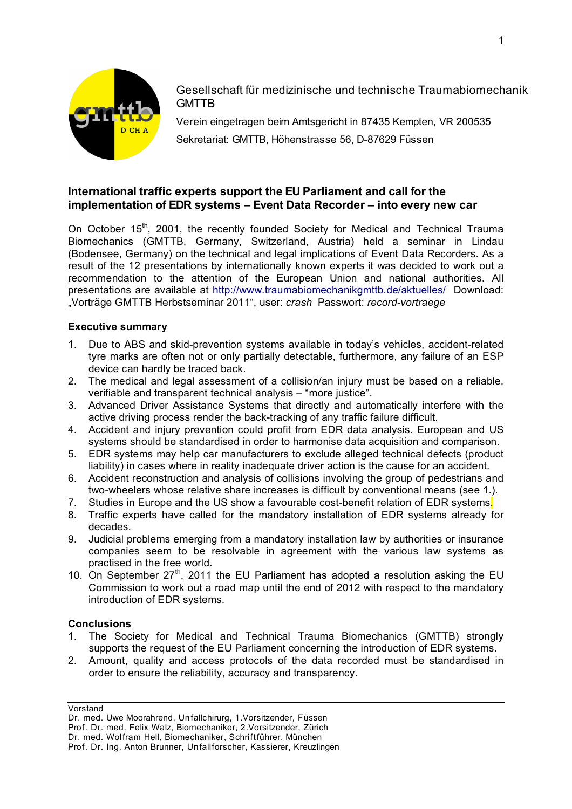

Gesellschaft für medizinische und technische Traumabiomechanik **GMTTB** 

Verein eingetragen beim Amtsgericht in 87435 Kempten, VR 200535 Sekretariat: GMTTB, Höhenstrasse 56, D-87629 Füssen

# **International traffic experts support the EU Parliament and call for the implementation of EDR systems – Event Data Recorder – into every new car**

On October 15<sup>th</sup>, 2001, the recently founded Society for Medical and Technical Trauma Biomechanics (GMTTB, Germany, Switzerland, Austria) held a seminar in Lindau (Bodensee, Germany) on the technical and legal implications of Event Data Recorders. As a result of the 12 presentations by internationally known experts it was decided to work out a recommendation to the attention of the European Union and national authorities. All presentations are available at http://www.traumabiomechanikgmttb.de/aktuelles/ Download: "Vorträge GMTTB Herbstseminar 2011", user: *crash* Passwort: *record-vortraege*

## **Executive summary**

- 1. Due to ABS and skid-prevention systems available in today's vehicles, accident-related tyre marks are often not or only partially detectable, furthermore, any failure of an ESP device can hardly be traced back.
- 2. The medical and legal assessment of a collision/an injury must be based on a reliable, verifiable and transparent technical analysis – "more justice".
- 3. Advanced Driver Assistance Systems that directly and automatically interfere with the active driving process render the back-tracking of any traffic failure difficult.
- 4. Accident and injury prevention could profit from EDR data analysis. European and US systems should be standardised in order to harmonise data acquisition and comparison.
- 5. EDR systems may help car manufacturers to exclude alleged technical defects (product liability) in cases where in reality inadequate driver action is the cause for an accident.
- 6. Accident reconstruction and analysis of collisions involving the group of pedestrians and two-wheelers whose relative share increases is difficult by conventional means (see 1.).
- 7. Studies in Europe and the US show a favourable cost-benefit relation of EDR systems.
- 8. Traffic experts have called for the mandatory installation of EDR systems already for decades.
- 9. Judicial problems emerging from a mandatory installation law by authorities or insurance companies seem to be resolvable in agreement with the various law systems as practised in the free world.
- 10. On September  $27<sup>th</sup>$ , 2011 the EU Parliament has adopted a resolution asking the EU Commission to work out a road map until the end of 2012 with respect to the mandatory introduction of EDR systems.

#### **Conclusions**

- 1. The Society for Medical and Technical Trauma Biomechanics (GMTTB) strongly supports the request of the EU Parliament concerning the introduction of EDR systems.
- 2. Amount, quality and access protocols of the data recorded must be standardised in order to ensure the reliability, accuracy and transparency.

Vorstand

Dr. med. Uwe Moorahrend, Unfallchirurg, 1.Vorsitzender, Füssen Prof. Dr. med. Felix Walz, Biomechaniker, 2.Vorsitzender, Zürich Dr. med. Wolfram Hell, Biomechaniker, Schriftführer, München

Prof. Dr. Ing. Anton Brunner, Unfallforscher, Kassierer, Kreuzlingen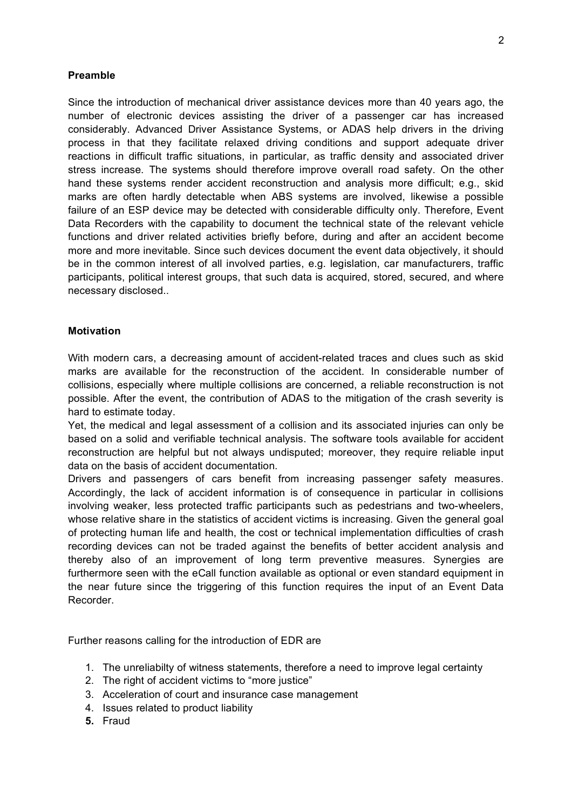# **Preamble**

Since the introduction of mechanical driver assistance devices more than 40 years ago, the number of electronic devices assisting the driver of a passenger car has increased considerably. Advanced Driver Assistance Systems, or ADAS help drivers in the driving process in that they facilitate relaxed driving conditions and support adequate driver reactions in difficult traffic situations, in particular, as traffic density and associated driver stress increase. The systems should therefore improve overall road safety. On the other hand these systems render accident reconstruction and analysis more difficult; e.g., skid marks are often hardly detectable when ABS systems are involved, likewise a possible failure of an ESP device may be detected with considerable difficulty only. Therefore, Event Data Recorders with the capability to document the technical state of the relevant vehicle functions and driver related activities briefly before, during and after an accident become more and more inevitable. Since such devices document the event data objectively, it should be in the common interest of all involved parties, e.g. legislation, car manufacturers, traffic participants, political interest groups, that such data is acquired, stored, secured, and where necessary disclosed..

## **Motivation**

With modern cars, a decreasing amount of accident-related traces and clues such as skid marks are available for the reconstruction of the accident. In considerable number of collisions, especially where multiple collisions are concerned, a reliable reconstruction is not possible. After the event, the contribution of ADAS to the mitigation of the crash severity is hard to estimate today.

Yet, the medical and legal assessment of a collision and its associated injuries can only be based on a solid and verifiable technical analysis. The software tools available for accident reconstruction are helpful but not always undisputed; moreover, they require reliable input data on the basis of accident documentation.

Drivers and passengers of cars benefit from increasing passenger safety measures. Accordingly, the lack of accident information is of consequence in particular in collisions involving weaker, less protected traffic participants such as pedestrians and two-wheelers, whose relative share in the statistics of accident victims is increasing. Given the general goal of protecting human life and health, the cost or technical implementation difficulties of crash recording devices can not be traded against the benefits of better accident analysis and thereby also of an improvement of long term preventive measures. Synergies are furthermore seen with the eCall function available as optional or even standard equipment in the near future since the triggering of this function requires the input of an Event Data Recorder.

Further reasons calling for the introduction of EDR are

- 1. The unreliabilty of witness statements, therefore a need to improve legal certainty
- 2. The right of accident victims to "more justice"
- 3. Acceleration of court and insurance case management
- 4. Issues related to product liability
- **5.** Fraud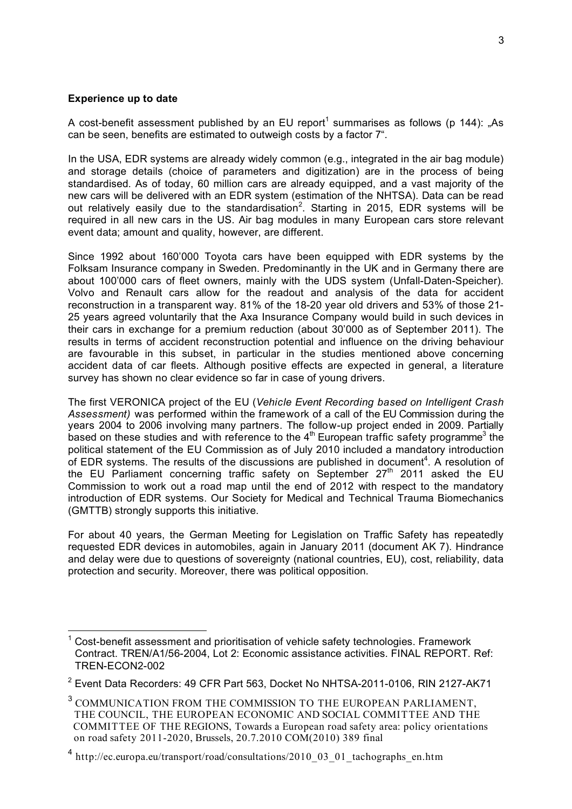#### **Experience up to date**

A cost-benefit assessment published by an EU report<sup>1</sup> summarises as follows (p 144): "As can be seen, benefits are estimated to outweigh costs by a factor 7".

In the USA, EDR systems are already widely common (e.g., integrated in the air bag module) and storage details (choice of parameters and digitization) are in the process of being standardised. As of today, 60 million cars are already equipped, and a vast majority of the new cars will be delivered with an EDR system (estimation of the NHTSA). Data can be read out relatively easily due to the standardisation<sup>2</sup>. Starting in 2015, EDR systems will be required in all new cars in the US. Air bag modules in many European cars store relevant event data; amount and quality, however, are different.

Since 1992 about 160'000 Toyota cars have been equipped with EDR systems by the Folksam Insurance company in Sweden. Predominantly in the UK and in Germany there are about 100'000 cars of fleet owners, mainly with the UDS system (Unfall-Daten-Speicher). Volvo and Renault cars allow for the readout and analysis of the data for accident reconstruction in a transparent way. 81% of the 18-20 year old drivers and 53% of those 21- 25 years agreed voluntarily that the Axa Insurance Company would build in such devices in their cars in exchange for a premium reduction (about 30'000 as of September 2011). The results in terms of accident reconstruction potential and influence on the driving behaviour are favourable in this subset, in particular in the studies mentioned above concerning accident data of car fleets. Although positive effects are expected in general, a literature survey has shown no clear evidence so far in case of young drivers.

The first VERONICA project of the EU (*Vehicle Event Recording based on Intelligent Crash Assessment)* was performed within the framework of a call of the EU Commission during the years 2004 to 2006 involving many partners. The follow-up project ended in 2009. Partially based on these studies and with reference to the  $4<sup>th</sup>$  European traffic safety programme<sup>3</sup> the political statement of the EU Commission as of July 2010 included a mandatory introduction of EDR systems. The results of the discussions are published in document<sup>4</sup>. A resolution of the EU Parliament concerning traffic safety on September  $27<sup>th</sup>$  2011 asked the EU Commission to work out a road map until the end of 2012 with respect to the mandatory introduction of EDR systems. Our Society for Medical and Technical Trauma Biomechanics (GMTTB) strongly supports this initiative.

For about 40 years, the German Meeting for Legislation on Traffic Safety has repeatedly requested EDR devices in automobiles, again in January 2011 (document AK 7). Hindrance and delay were due to questions of sovereignty (national countries, EU), cost, reliability, data protection and security. Moreover, there was political opposition.

 $1$  Cost-benefit assessment and prioritisation of vehicle safety technologies. Framework Contract. TREN/A1/56-2004, Lot 2: Economic assistance activities. FINAL REPORT. Ref: TREN-ECON2-002

<sup>&</sup>lt;sup>2</sup> Event Data Recorders: 49 CFR Part 563, Docket No NHTSA-2011-0106, RIN 2127-AK71

 $^3$  COMMUNICATION FROM THE COMMISSION TO THE EUROPEAN PARLIAMENT, THE COUNCIL, THE EUROPEAN ECONOMIC AND SOCIAL COMMITTEE AND THE COMMITTEE OF THE REGIONS, Towards a European road safety area: policy orientations on road safety 2011-2020, Brussels, 20.7.2010 COM(2010) 389 final

 $4$  http://ec.europa.eu/transport/road/consultations/2010\_03\_01\_tachographs\_en.htm